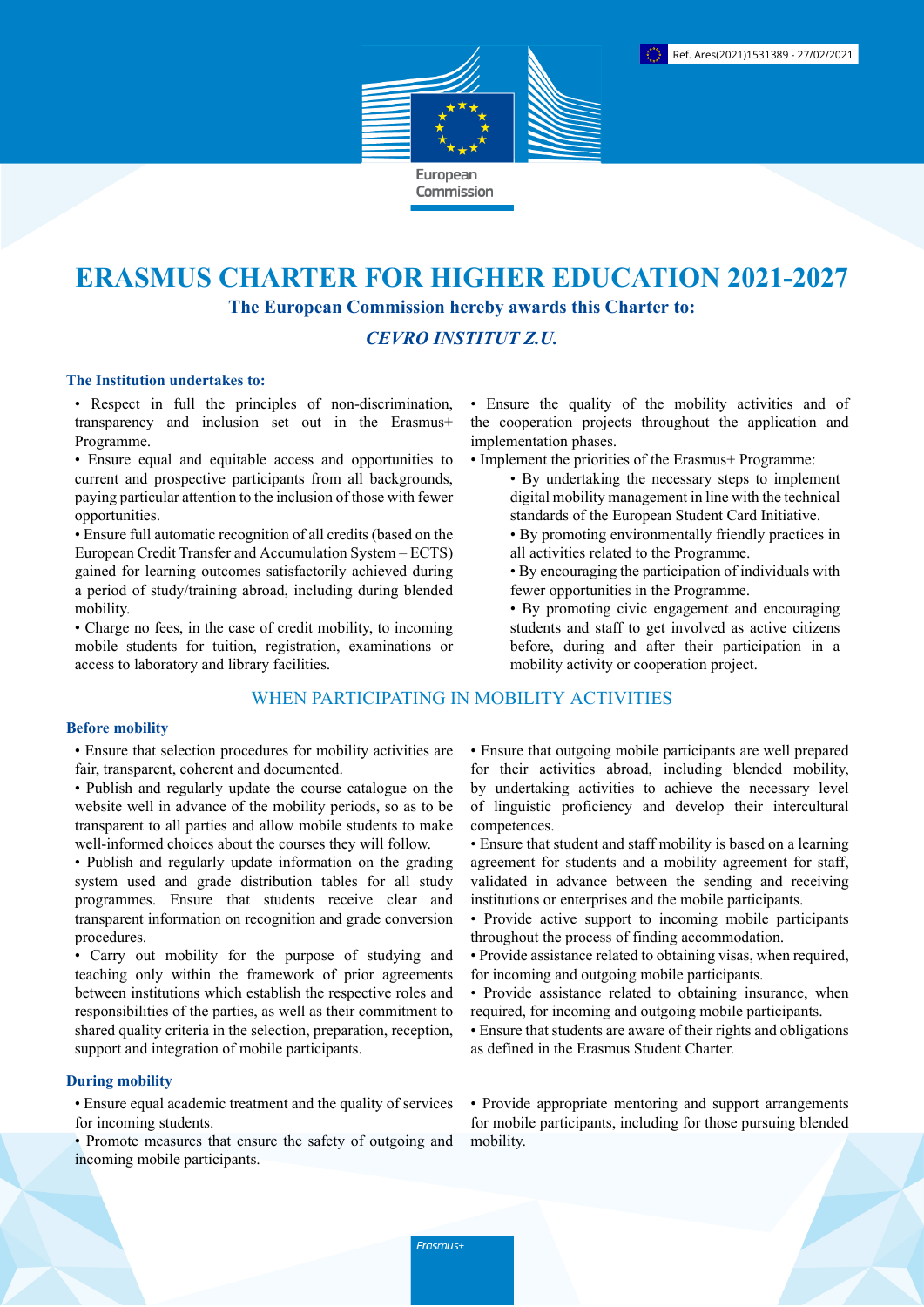

# **ERASMUS CHARTER FOR HIGHER EDUCATION 2021-2027 The European Commission hereby awards this Charter to:**

# *CEVRO INSTITUT Z.U.*

#### **The Institution undertakes to:**

• Respect in full the principles of non-discrimination, transparency and inclusion set out in the Erasmus+ Programme.

• Ensure equal and equitable access and opportunities to current and prospective participants from all backgrounds, paying particular attention to the inclusion of those with fewer opportunities.

• Ensure full automatic recognition of all credits (based on the European Credit Transfer and Accumulation System – ECTS) gained for learning outcomes satisfactorily achieved during a period of study/training abroad, including during blended mobility.

• Charge no fees, in the case of credit mobility, to incoming mobile students for tuition, registration, examinations or access to laboratory and library facilities.

## WHEN PARTICIPATING IN MOBILITY ACTIVITIES

#### **Before mobility**

• Ensure that selection procedures for mobility activities are fair, transparent, coherent and documented.

- Publish and regularly update the course catalogue on the website well in advance of the mobility periods, so as to be transparent to all parties and allow mobile students to make well-informed choices about the courses they will follow.
- Publish and regularly update information on the grading system used and grade distribution tables for all study programmes. Ensure that students receive clear and transparent information on recognition and grade conversion procedures.

• Carry out mobility for the purpose of studying and teaching only within the framework of prior agreements between institutions which establish the respective roles and responsibilities of the parties, as well as their commitment to shared quality criteria in the selection, preparation, reception, support and integration of mobile participants.

## **During mobility**

• Ensure equal academic treatment and the quality of services for incoming students.

• Promote measures that ensure the safety of outgoing and incoming mobile participants.

• Ensure the quality of the mobility activities and of the cooperation projects throughout the application and implementation phases.

- Implement the priorities of the Erasmus+ Programme:
	- By undertaking the necessary steps to implement digital mobility management in line with the technical standards of the European Student Card Initiative.
	- By promoting environmentally friendly practices in all activities related to the Programme.
	- By encouraging the participation of individuals with fewer opportunities in the Programme.
	- By promoting civic engagement and encouraging students and staff to get involved as active citizens before, during and after their participation in a mobility activity or cooperation project.

• Ensure that outgoing mobile participants are well prepared for their activities abroad, including blended mobility, by undertaking activities to achieve the necessary level of linguistic proficiency and develop their intercultural competences.

- Ensure that student and staff mobility is based on a learning agreement for students and a mobility agreement for staff, validated in advance between the sending and receiving institutions or enterprises and the mobile participants.
- Provide active support to incoming mobile participants throughout the process of finding accommodation.
- Provide assistance related to obtaining visas, when required, for incoming and outgoing mobile participants.
- Provide assistance related to obtaining insurance, when required, for incoming and outgoing mobile participants.
- Ensure that students are aware of their rights and obligations as defined in the Erasmus Student Charter.

• Provide appropriate mentoring and support arrangements for mobile participants, including for those pursuing blended mobility.

Erasmus+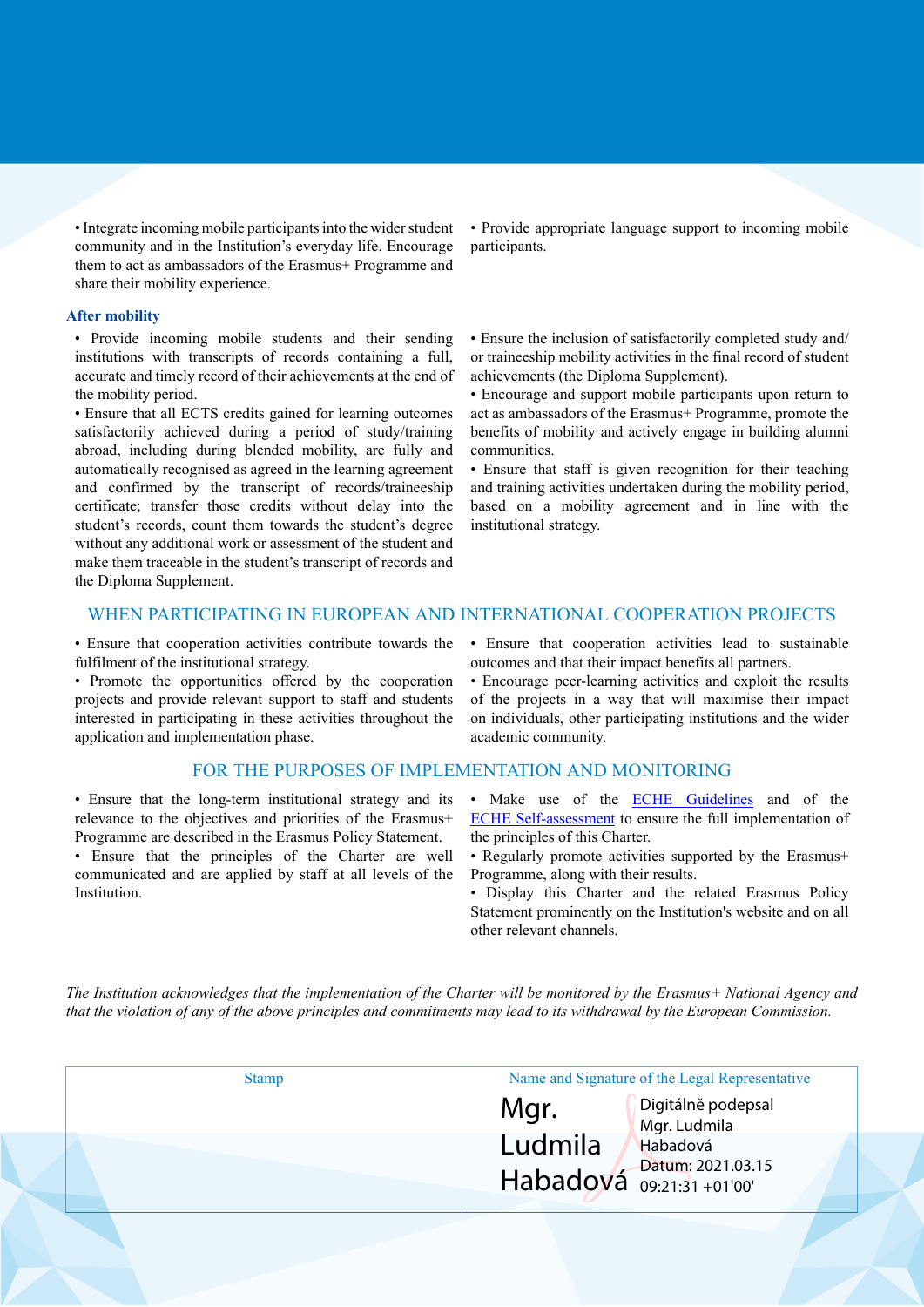• Integrate incoming mobile participants into the wider student community and in the Institution's everyday life. Encourage them to act as ambassadors of the Erasmus+ Programme and share their mobility experience.

#### **After mobility**

• Provide incoming mobile students and their sending institutions with transcripts of records containing a full, accurate and timely record of their achievements at the end of the mobility period.

• Ensure that all ECTS credits gained for learning outcomes satisfactorily achieved during a period of study/training abroad, including during blended mobility, are fully and automatically recognised as agreed in the learning agreement and confirmed by the transcript of records/traineeship certificate; transfer those credits without delay into the student's records, count them towards the student's degree without any additional work or assessment of the student and make them traceable in the student's transcript of records and the Diploma Supplement.

• Provide appropriate language support to incoming mobile participants.

• Ensure the inclusion of satisfactorily completed study and/ or traineeship mobility activities in the final record of student achievements (the Diploma Supplement).

• Encourage and support mobile participants upon return to act as ambassadors of the Erasmus+ Programme, promote the benefits of mobility and actively engage in building alumni communities.

• Ensure that staff is given recognition for their teaching and training activities undertaken during the mobility period, based on a mobility agreement and in line with the institutional strategy.

## WHEN PARTICIPATING IN EUROPEAN AND INTERNATIONAL COOPERATION PROJECTS

• Ensure that cooperation activities contribute towards the fulfilment of the institutional strategy.

• Promote the opportunities offered by the cooperation projects and provide relevant support to staff and students interested in participating in these activities throughout the application and implementation phase.

#### FOR THE PURPOSES OF IMPLEMENTATION AND MONITORING

• Ensure that the long-term institutional strategy and its relevance to the objectives and priorities of the Erasmus+ Programme are described in the Erasmus Policy Statement.

• Ensure that the principles of the Charter are well communicated and are applied by staff at all levels of the Institution.

• Ensure that cooperation activities lead to sustainable outcomes and that their impact benefits all partners.

• Encourage peer-learning activities and exploit the results of the projects in a way that will maximise their impact on individuals, other participating institutions and the wider academic community.

- Make use of the **ECHE Guidelines** and of the [ECHE Self-assessment](https://ec.europa.eu/programmes/erasmus-plus/eche/start_en) to ensure the full implementation of the principles of this Charter.
- Regularly promote activities supported by the Erasmus+ Programme, along with their results.
- Display this Charter and the related Erasmus Policy Statement prominently on the Institution's website and on all other relevant channels.

The Institution acknowledges that the implementation of the Charter will be monitored by the Erasmus+ National Agency and that the violation of any of the above principles and commitments may lead to its withdrawal by the European Commission.

| <b>Stamp</b> | Name and Signature of the Legal Representative |                                    |
|--------------|------------------------------------------------|------------------------------------|
|              | Mgr.                                           | Digitálně podepsal<br>Mgr. Ludmila |
|              | Ludmila                                        | Habadová                           |
|              | Habadová $_{09:21:31+01'00'}$                  | Datum: 2021.03.15                  |
|              |                                                |                                    |